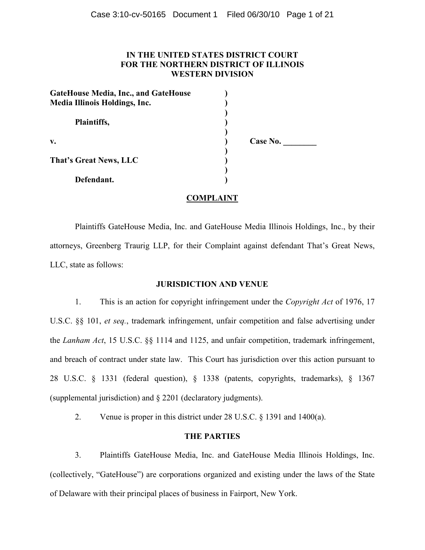# **IN THE UNITED STATES DISTRICT COURT FOR THE NORTHERN DISTRICT OF ILLINOIS WESTERN DIVISION**

| <b>GateHouse Media, Inc., and GateHouse</b><br><b>Media Illinois Holdings, Inc.</b> |  |
|-------------------------------------------------------------------------------------|--|
| Plaintiffs,                                                                         |  |
| $V_{\bullet}$                                                                       |  |
| That's Great News, LLC                                                              |  |
| Defendant.                                                                          |  |

**v. ) Case No. \_\_\_\_\_\_\_\_** 

# **COMPLAINT**

Plaintiffs GateHouse Media, Inc. and GateHouse Media Illinois Holdings, Inc., by their attorneys, Greenberg Traurig LLP, for their Complaint against defendant That's Great News, LLC, state as follows:

# **JURISDICTION AND VENUE**

1. This is an action for copyright infringement under the *Copyright Act* of 1976, 17 U.S.C. §§ 101, *et seq.*, trademark infringement, unfair competition and false advertising under the *Lanham Act*, 15 U.S.C. §§ 1114 and 1125, and unfair competition, trademark infringement, and breach of contract under state law. This Court has jurisdiction over this action pursuant to 28 U.S.C. § 1331 (federal question), § 1338 (patents, copyrights, trademarks), § 1367 (supplemental jurisdiction) and § 2201 (declaratory judgments).

2. Venue is proper in this district under 28 U.S.C. § 1391 and 1400(a).

# **THE PARTIES**

3. Plaintiffs GateHouse Media, Inc. and GateHouse Media Illinois Holdings, Inc. (collectively, "GateHouse") are corporations organized and existing under the laws of the State of Delaware with their principal places of business in Fairport, New York.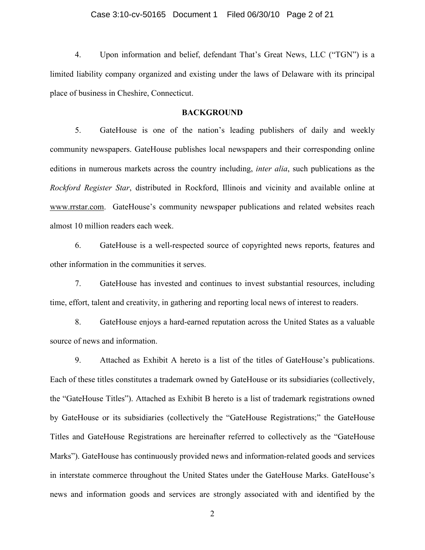4. Upon information and belief, defendant That's Great News, LLC ("TGN") is a limited liability company organized and existing under the laws of Delaware with its principal place of business in Cheshire, Connecticut.

# **BACKGROUND**

5. GateHouse is one of the nation's leading publishers of daily and weekly community newspapers. GateHouse publishes local newspapers and their corresponding online editions in numerous markets across the country including, *inter alia*, such publications as the *Rockford Register Star*, distributed in Rockford, Illinois and vicinity and available online at www.rrstar.com. GateHouse's community newspaper publications and related websites reach almost 10 million readers each week.

6. GateHouse is a well-respected source of copyrighted news reports, features and other information in the communities it serves.

7. GateHouse has invested and continues to invest substantial resources, including time, effort, talent and creativity, in gathering and reporting local news of interest to readers.

8. GateHouse enjoys a hard-earned reputation across the United States as a valuable source of news and information.

9. Attached as Exhibit A hereto is a list of the titles of GateHouse's publications. Each of these titles constitutes a trademark owned by GateHouse or its subsidiaries (collectively, the "GateHouse Titles"). Attached as Exhibit B hereto is a list of trademark registrations owned by GateHouse or its subsidiaries (collectively the "GateHouse Registrations;" the GateHouse Titles and GateHouse Registrations are hereinafter referred to collectively as the "GateHouse Marks"). GateHouse has continuously provided news and information-related goods and services in interstate commerce throughout the United States under the GateHouse Marks. GateHouse's news and information goods and services are strongly associated with and identified by the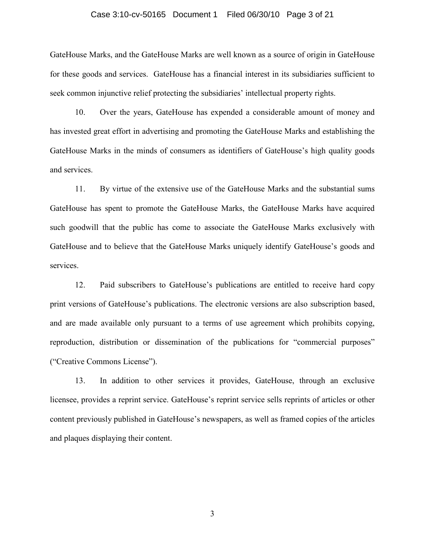#### Case 3:10-cv-50165 Document 1 Filed 06/30/10 Page 3 of 21

GateHouse Marks, and the GateHouse Marks are well known as a source of origin in GateHouse for these goods and services. GateHouse has a financial interest in its subsidiaries sufficient to seek common injunctive relief protecting the subsidiaries' intellectual property rights.

10. Over the years, GateHouse has expended a considerable amount of money and has invested great effort in advertising and promoting the GateHouse Marks and establishing the GateHouse Marks in the minds of consumers as identifiers of GateHouse's high quality goods and services.

11. By virtue of the extensive use of the GateHouse Marks and the substantial sums GateHouse has spent to promote the GateHouse Marks, the GateHouse Marks have acquired such goodwill that the public has come to associate the GateHouse Marks exclusively with GateHouse and to believe that the GateHouse Marks uniquely identify GateHouse's goods and services.

12. Paid subscribers to GateHouse's publications are entitled to receive hard copy print versions of GateHouse's publications. The electronic versions are also subscription based, and are made available only pursuant to a terms of use agreement which prohibits copying, reproduction, distribution or dissemination of the publications for "commercial purposes" ("Creative Commons License").

13. In addition to other services it provides, GateHouse, through an exclusive licensee, provides a reprint service. GateHouse's reprint service sells reprints of articles or other content previously published in GateHouse's newspapers, as well as framed copies of the articles and plaques displaying their content.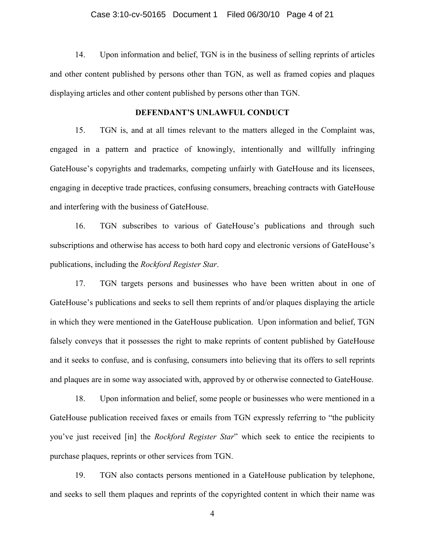14. Upon information and belief, TGN is in the business of selling reprints of articles and other content published by persons other than TGN, as well as framed copies and plaques displaying articles and other content published by persons other than TGN.

## **DEFENDANT'S UNLAWFUL CONDUCT**

15. TGN is, and at all times relevant to the matters alleged in the Complaint was, engaged in a pattern and practice of knowingly, intentionally and willfully infringing GateHouse's copyrights and trademarks, competing unfairly with GateHouse and its licensees, engaging in deceptive trade practices, confusing consumers, breaching contracts with GateHouse and interfering with the business of GateHouse.

16. TGN subscribes to various of GateHouse's publications and through such subscriptions and otherwise has access to both hard copy and electronic versions of GateHouse's publications, including the *Rockford Register Star*.

17. TGN targets persons and businesses who have been written about in one of GateHouse's publications and seeks to sell them reprints of and/or plaques displaying the article in which they were mentioned in the GateHouse publication. Upon information and belief, TGN falsely conveys that it possesses the right to make reprints of content published by GateHouse and it seeks to confuse, and is confusing, consumers into believing that its offers to sell reprints and plaques are in some way associated with, approved by or otherwise connected to GateHouse.

18. Upon information and belief, some people or businesses who were mentioned in a GateHouse publication received faxes or emails from TGN expressly referring to "the publicity you've just received [in] the *Rockford Register Star*" which seek to entice the recipients to purchase plaques, reprints or other services from TGN.

19. TGN also contacts persons mentioned in a GateHouse publication by telephone, and seeks to sell them plaques and reprints of the copyrighted content in which their name was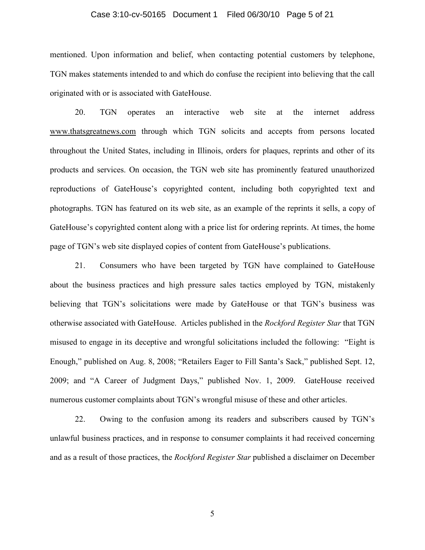## Case 3:10-cv-50165 Document 1 Filed 06/30/10 Page 5 of 21

mentioned. Upon information and belief, when contacting potential customers by telephone, TGN makes statements intended to and which do confuse the recipient into believing that the call originated with or is associated with GateHouse.

20. TGN operates an interactive web site at the internet address www.thatsgreatnews.com through which TGN solicits and accepts from persons located throughout the United States, including in Illinois, orders for plaques, reprints and other of its products and services. On occasion, the TGN web site has prominently featured unauthorized reproductions of GateHouse's copyrighted content, including both copyrighted text and photographs. TGN has featured on its web site, as an example of the reprints it sells, a copy of GateHouse's copyrighted content along with a price list for ordering reprints. At times, the home page of TGN's web site displayed copies of content from GateHouse's publications.

21. Consumers who have been targeted by TGN have complained to GateHouse about the business practices and high pressure sales tactics employed by TGN, mistakenly believing that TGN's solicitations were made by GateHouse or that TGN's business was otherwise associated with GateHouse. Articles published in the *Rockford Register Star* that TGN misused to engage in its deceptive and wrongful solicitations included the following: "Eight is Enough," published on Aug. 8, 2008; "Retailers Eager to Fill Santa's Sack," published Sept. 12, 2009; and "A Career of Judgment Days," published Nov. 1, 2009. GateHouse received numerous customer complaints about TGN's wrongful misuse of these and other articles.

22. Owing to the confusion among its readers and subscribers caused by TGN's unlawful business practices, and in response to consumer complaints it had received concerning and as a result of those practices, the *Rockford Register Star* published a disclaimer on December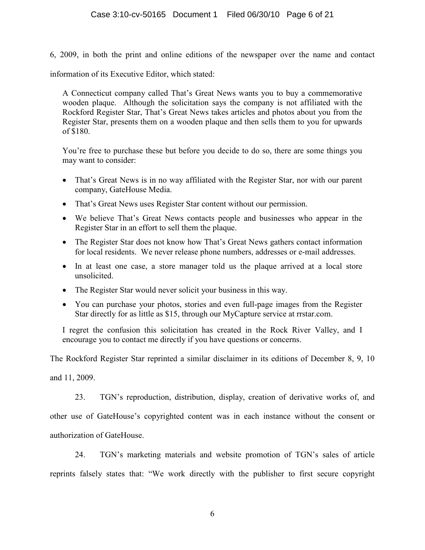6, 2009, in both the print and online editions of the newspaper over the name and contact

information of its Executive Editor, which stated:

A Connecticut company called That's Great News wants you to buy a commemorative wooden plaque. Although the solicitation says the company is not affiliated with the Rockford Register Star, That's Great News takes articles and photos about you from the Register Star, presents them on a wooden plaque and then sells them to you for upwards of \$180.

You're free to purchase these but before you decide to do so, there are some things you may want to consider:

- That's Great News is in no way affiliated with the Register Star, nor with our parent company, GateHouse Media.
- That's Great News uses Register Star content without our permission.
- We believe That's Great News contacts people and businesses who appear in the Register Star in an effort to sell them the plaque.
- The Register Star does not know how That's Great News gathers contact information for local residents. We never release phone numbers, addresses or e-mail addresses.
- In at least one case, a store manager told us the plaque arrived at a local store unsolicited.
- The Register Star would never solicit your business in this way.
- You can purchase your photos, stories and even full-page images from the Register Star directly for as little as \$15, through our MyCapture service at rrstar.com.

I regret the confusion this solicitation has created in the Rock River Valley, and I encourage you to contact me directly if you have questions or concerns.

The Rockford Register Star reprinted a similar disclaimer in its editions of December 8, 9, 10

and 11, 2009.

23. TGN's reproduction, distribution, display, creation of derivative works of, and other use of GateHouse's copyrighted content was in each instance without the consent or authorization of GateHouse.

24. TGN's marketing materials and website promotion of TGN's sales of article reprints falsely states that: "We work directly with the publisher to first secure copyright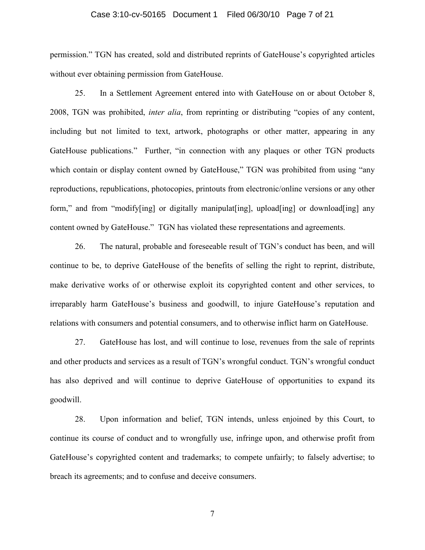### Case 3:10-cv-50165 Document 1 Filed 06/30/10 Page 7 of 21

permission." TGN has created, sold and distributed reprints of GateHouse's copyrighted articles without ever obtaining permission from GateHouse.

25. In a Settlement Agreement entered into with GateHouse on or about October 8, 2008, TGN was prohibited, *inter alia*, from reprinting or distributing "copies of any content, including but not limited to text, artwork, photographs or other matter, appearing in any GateHouse publications." Further, "in connection with any plaques or other TGN products which contain or display content owned by GateHouse," TGN was prohibited from using "any reproductions, republications, photocopies, printouts from electronic/online versions or any other form," and from "modify[ing] or digitally manipulat[ing], upload[ing] or download[ing] any content owned by GateHouse." TGN has violated these representations and agreements.

26. The natural, probable and foreseeable result of TGN's conduct has been, and will continue to be, to deprive GateHouse of the benefits of selling the right to reprint, distribute, make derivative works of or otherwise exploit its copyrighted content and other services, to irreparably harm GateHouse's business and goodwill, to injure GateHouse's reputation and relations with consumers and potential consumers, and to otherwise inflict harm on GateHouse.

27. GateHouse has lost, and will continue to lose, revenues from the sale of reprints and other products and services as a result of TGN's wrongful conduct. TGN's wrongful conduct has also deprived and will continue to deprive GateHouse of opportunities to expand its goodwill.

28. Upon information and belief, TGN intends, unless enjoined by this Court, to continue its course of conduct and to wrongfully use, infringe upon, and otherwise profit from GateHouse's copyrighted content and trademarks; to compete unfairly; to falsely advertise; to breach its agreements; and to confuse and deceive consumers.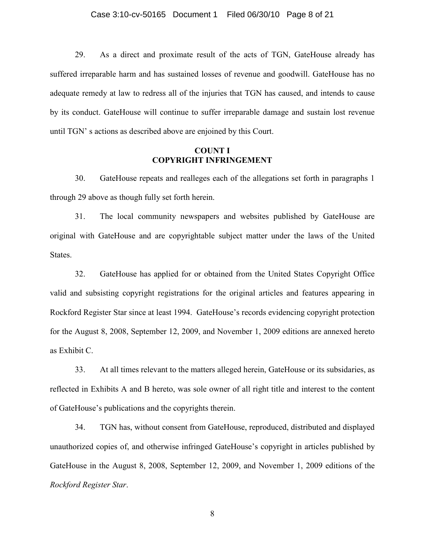29. As a direct and proximate result of the acts of TGN, GateHouse already has suffered irreparable harm and has sustained losses of revenue and goodwill. GateHouse has no adequate remedy at law to redress all of the injuries that TGN has caused, and intends to cause by its conduct. GateHouse will continue to suffer irreparable damage and sustain lost revenue until TGN' s actions as described above are enjoined by this Court.

# **COUNT I COPYRIGHT INFRINGEMENT**

30. GateHouse repeats and realleges each of the allegations set forth in paragraphs 1 through 29 above as though fully set forth herein.

31. The local community newspapers and websites published by GateHouse are original with GateHouse and are copyrightable subject matter under the laws of the United States.

32. GateHouse has applied for or obtained from the United States Copyright Office valid and subsisting copyright registrations for the original articles and features appearing in Rockford Register Star since at least 1994. GateHouse's records evidencing copyright protection for the August 8, 2008, September 12, 2009, and November 1, 2009 editions are annexed hereto as Exhibit C.

33. At all times relevant to the matters alleged herein, GateHouse or its subsidaries, as reflected in Exhibits A and B hereto, was sole owner of all right title and interest to the content of GateHouse's publications and the copyrights therein.

34. TGN has, without consent from GateHouse, reproduced, distributed and displayed unauthorized copies of, and otherwise infringed GateHouse's copyright in articles published by GateHouse in the August 8, 2008, September 12, 2009, and November 1, 2009 editions of the *Rockford Register Star*.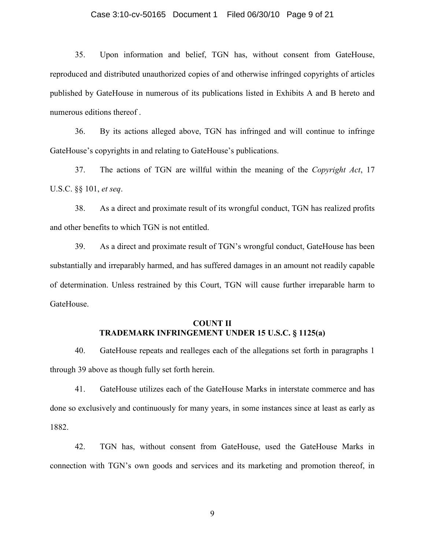## Case 3:10-cv-50165 Document 1 Filed 06/30/10 Page 9 of 21

35. Upon information and belief, TGN has, without consent from GateHouse, reproduced and distributed unauthorized copies of and otherwise infringed copyrights of articles published by GateHouse in numerous of its publications listed in Exhibits A and B hereto and numerous editions thereof .

36. By its actions alleged above, TGN has infringed and will continue to infringe GateHouse's copyrights in and relating to GateHouse's publications.

37. The actions of TGN are willful within the meaning of the *Copyright Act*, 17 U.S.C. §§ 101, *et seq*.

38. As a direct and proximate result of its wrongful conduct, TGN has realized profits and other benefits to which TGN is not entitled.

39. As a direct and proximate result of TGN's wrongful conduct, GateHouse has been substantially and irreparably harmed, and has suffered damages in an amount not readily capable of determination. Unless restrained by this Court, TGN will cause further irreparable harm to GateHouse.

# **COUNT II TRADEMARK INFRINGEMENT UNDER 15 U.S.C. § 1125(a)**

40. GateHouse repeats and realleges each of the allegations set forth in paragraphs 1 through 39 above as though fully set forth herein.

41. GateHouse utilizes each of the GateHouse Marks in interstate commerce and has done so exclusively and continuously for many years, in some instances since at least as early as 1882.

42. TGN has, without consent from GateHouse, used the GateHouse Marks in connection with TGN's own goods and services and its marketing and promotion thereof, in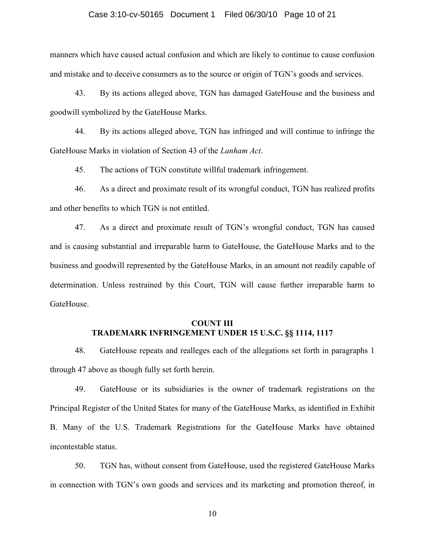### Case 3:10-cv-50165 Document 1 Filed 06/30/10 Page 10 of 21

manners which have caused actual confusion and which are likely to continue to cause confusion and mistake and to deceive consumers as to the source or origin of TGN's goods and services.

43. By its actions alleged above, TGN has damaged GateHouse and the business and goodwill symbolized by the GateHouse Marks.

44. By its actions alleged above, TGN has infringed and will continue to infringe the GateHouse Marks in violation of Section 43 of the *Lanham Act*.

45. The actions of TGN constitute willful trademark infringement.

46. As a direct and proximate result of its wrongful conduct, TGN has realized profits and other benefits to which TGN is not entitled.

47. As a direct and proximate result of TGN's wrongful conduct, TGN has caused and is causing substantial and irreparable harm to GateHouse, the GateHouse Marks and to the business and goodwill represented by the GateHouse Marks, in an amount not readily capable of determination. Unless restrained by this Court, TGN will cause further irreparable harm to GateHouse.

# **COUNT III TRADEMARK INFRINGEMENT UNDER 15 U.S.C. §§ 1114, 1117**

48. GateHouse repeats and realleges each of the allegations set forth in paragraphs 1 through 47 above as though fully set forth herein.

49. GateHouse or its subsidiaries is the owner of trademark registrations on the Principal Register of the United States for many of the GateHouse Marks, as identified in Exhibit B. Many of the U.S. Trademark Registrations for the GateHouse Marks have obtained incontestable status.

50. TGN has, without consent from GateHouse, used the registered GateHouse Marks in connection with TGN's own goods and services and its marketing and promotion thereof, in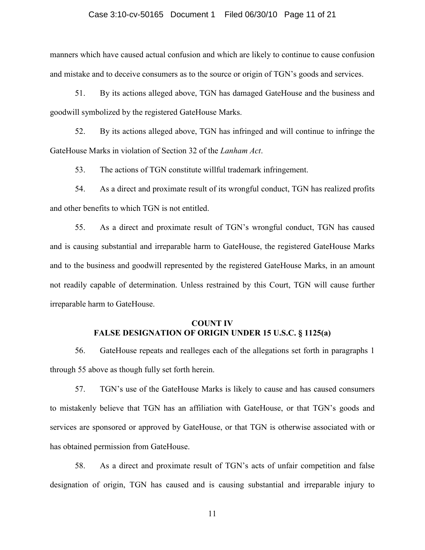### Case 3:10-cv-50165 Document 1 Filed 06/30/10 Page 11 of 21

manners which have caused actual confusion and which are likely to continue to cause confusion and mistake and to deceive consumers as to the source or origin of TGN's goods and services.

51. By its actions alleged above, TGN has damaged GateHouse and the business and goodwill symbolized by the registered GateHouse Marks.

52. By its actions alleged above, TGN has infringed and will continue to infringe the GateHouse Marks in violation of Section 32 of the *Lanham Act*.

53. The actions of TGN constitute willful trademark infringement.

54. As a direct and proximate result of its wrongful conduct, TGN has realized profits and other benefits to which TGN is not entitled.

55. As a direct and proximate result of TGN's wrongful conduct, TGN has caused and is causing substantial and irreparable harm to GateHouse, the registered GateHouse Marks and to the business and goodwill represented by the registered GateHouse Marks, in an amount not readily capable of determination. Unless restrained by this Court, TGN will cause further irreparable harm to GateHouse.

## **COUNT IV FALSE DESIGNATION OF ORIGIN UNDER 15 U.S.C. § 1125(a)**

56. GateHouse repeats and realleges each of the allegations set forth in paragraphs 1 through 55 above as though fully set forth herein.

57. TGN's use of the GateHouse Marks is likely to cause and has caused consumers to mistakenly believe that TGN has an affiliation with GateHouse, or that TGN's goods and services are sponsored or approved by GateHouse, or that TGN is otherwise associated with or has obtained permission from GateHouse.

58. As a direct and proximate result of TGN's acts of unfair competition and false designation of origin, TGN has caused and is causing substantial and irreparable injury to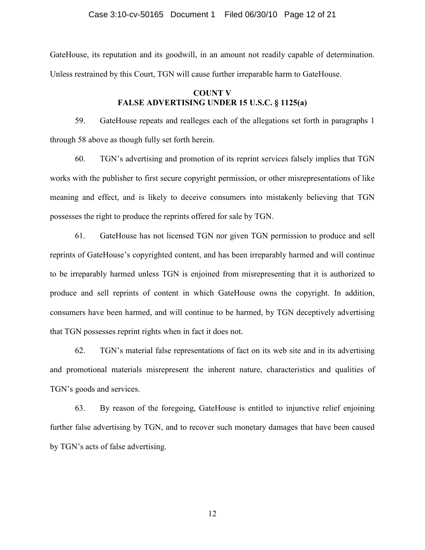GateHouse, its reputation and its goodwill, in an amount not readily capable of determination. Unless restrained by this Court, TGN will cause further irreparable harm to GateHouse.

# **COUNT V FALSE ADVERTISING UNDER 15 U.S.C. § 1125(a)**

59. GateHouse repeats and realleges each of the allegations set forth in paragraphs 1 through 58 above as though fully set forth herein.

60. TGN's advertising and promotion of its reprint services falsely implies that TGN works with the publisher to first secure copyright permission, or other misrepresentations of like meaning and effect, and is likely to deceive consumers into mistakenly believing that TGN possesses the right to produce the reprints offered for sale by TGN.

61. GateHouse has not licensed TGN nor given TGN permission to produce and sell reprints of GateHouse's copyrighted content, and has been irreparably harmed and will continue to be irreparably harmed unless TGN is enjoined from misrepresenting that it is authorized to produce and sell reprints of content in which GateHouse owns the copyright. In addition, consumers have been harmed, and will continue to be harmed, by TGN deceptively advertising that TGN possesses reprint rights when in fact it does not.

62. TGN's material false representations of fact on its web site and in its advertising and promotional materials misrepresent the inherent nature, characteristics and qualities of TGN's goods and services.

63. By reason of the foregoing, GateHouse is entitled to injunctive relief enjoining further false advertising by TGN, and to recover such monetary damages that have been caused by TGN's acts of false advertising.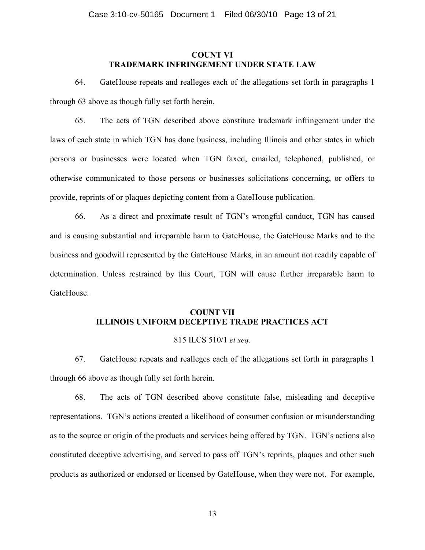## **COUNT VI TRADEMARK INFRINGEMENT UNDER STATE LAW**

64. GateHouse repeats and realleges each of the allegations set forth in paragraphs 1 through 63 above as though fully set forth herein.

65. The acts of TGN described above constitute trademark infringement under the laws of each state in which TGN has done business, including Illinois and other states in which persons or businesses were located when TGN faxed, emailed, telephoned, published, or otherwise communicated to those persons or businesses solicitations concerning, or offers to provide, reprints of or plaques depicting content from a GateHouse publication.

66. As a direct and proximate result of TGN's wrongful conduct, TGN has caused and is causing substantial and irreparable harm to GateHouse, the GateHouse Marks and to the business and goodwill represented by the GateHouse Marks, in an amount not readily capable of determination. Unless restrained by this Court, TGN will cause further irreparable harm to GateHouse.

# **COUNT VII ILLINOIS UNIFORM DECEPTIVE TRADE PRACTICES ACT**

## 815 ILCS 510/1 *et seq.*

67. GateHouse repeats and realleges each of the allegations set forth in paragraphs 1 through 66 above as though fully set forth herein.

68. The acts of TGN described above constitute false, misleading and deceptive representations. TGN's actions created a likelihood of consumer confusion or misunderstanding as to the source or origin of the products and services being offered by TGN. TGN's actions also constituted deceptive advertising, and served to pass off TGN's reprints, plaques and other such products as authorized or endorsed or licensed by GateHouse, when they were not. For example,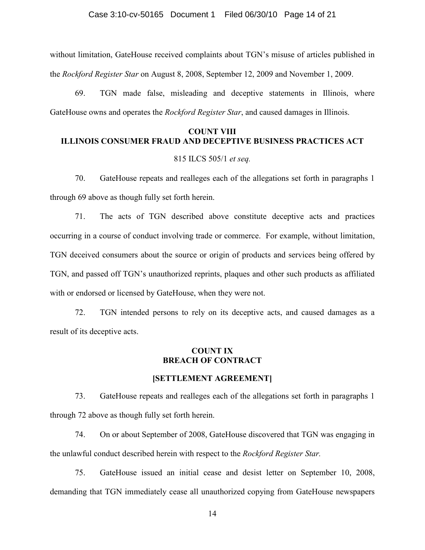without limitation, GateHouse received complaints about TGN's misuse of articles published in the *Rockford Register Star* on August 8, 2008, September 12, 2009 and November 1, 2009.

69. TGN made false, misleading and deceptive statements in Illinois, where GateHouse owns and operates the *Rockford Register Star*, and caused damages in Illinois.

# **COUNT VIII ILLINOIS CONSUMER FRAUD AND DECEPTIVE BUSINESS PRACTICES ACT**

## 815 ILCS 505/1 *et seq.*

70. GateHouse repeats and realleges each of the allegations set forth in paragraphs 1 through 69 above as though fully set forth herein.

71. The acts of TGN described above constitute deceptive acts and practices occurring in a course of conduct involving trade or commerce. For example, without limitation, TGN deceived consumers about the source or origin of products and services being offered by TGN, and passed off TGN's unauthorized reprints, plaques and other such products as affiliated with or endorsed or licensed by GateHouse, when they were not.

72. TGN intended persons to rely on its deceptive acts, and caused damages as a result of its deceptive acts.

## **COUNT IX BREACH OF CONTRACT**

## **[SETTLEMENT AGREEMENT]**

73. GateHouse repeats and realleges each of the allegations set forth in paragraphs 1 through 72 above as though fully set forth herein.

74. On or about September of 2008, GateHouse discovered that TGN was engaging in the unlawful conduct described herein with respect to the *Rockford Register Star.* 

75. GateHouse issued an initial cease and desist letter on September 10, 2008, demanding that TGN immediately cease all unauthorized copying from GateHouse newspapers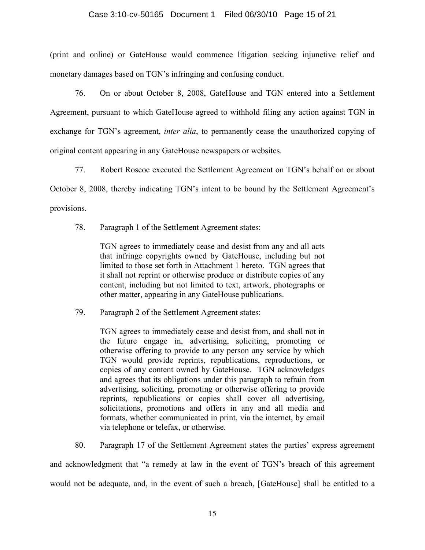# Case 3:10-cv-50165 Document 1 Filed 06/30/10 Page 15 of 21

(print and online) or GateHouse would commence litigation seeking injunctive relief and monetary damages based on TGN's infringing and confusing conduct.

76. On or about October 8, 2008, GateHouse and TGN entered into a Settlement Agreement, pursuant to which GateHouse agreed to withhold filing any action against TGN in exchange for TGN's agreement, *inter alia*, to permanently cease the unauthorized copying of original content appearing in any GateHouse newspapers or websites.

77. Robert Roscoe executed the Settlement Agreement on TGN's behalf on or about October 8, 2008, thereby indicating TGN's intent to be bound by the Settlement Agreement's provisions.

78. Paragraph 1 of the Settlement Agreement states:

TGN agrees to immediately cease and desist from any and all acts that infringe copyrights owned by GateHouse, including but not limited to those set forth in Attachment 1 hereto. TGN agrees that it shall not reprint or otherwise produce or distribute copies of any content, including but not limited to text, artwork, photographs or other matter, appearing in any GateHouse publications.

79. Paragraph 2 of the Settlement Agreement states:

TGN agrees to immediately cease and desist from, and shall not in the future engage in, advertising, soliciting, promoting or otherwise offering to provide to any person any service by which TGN would provide reprints, republications, reproductions, or copies of any content owned by GateHouse. TGN acknowledges and agrees that its obligations under this paragraph to refrain from advertising, soliciting, promoting or otherwise offering to provide reprints, republications or copies shall cover all advertising, solicitations, promotions and offers in any and all media and formats, whether communicated in print, via the internet, by email via telephone or telefax, or otherwise.

80. Paragraph 17 of the Settlement Agreement states the parties' express agreement and acknowledgment that "a remedy at law in the event of TGN's breach of this agreement would not be adequate, and, in the event of such a breach, [GateHouse] shall be entitled to a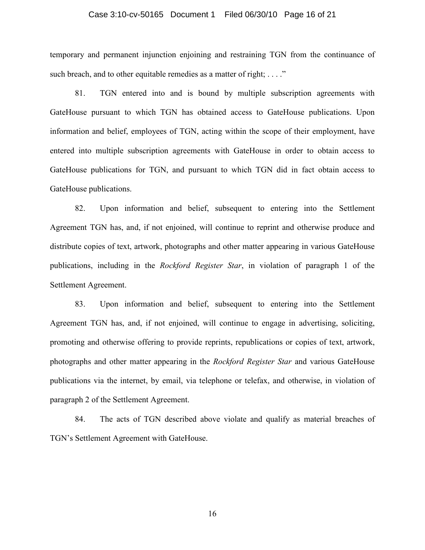## Case 3:10-cv-50165 Document 1 Filed 06/30/10 Page 16 of 21

temporary and permanent injunction enjoining and restraining TGN from the continuance of such breach, and to other equitable remedies as a matter of right; ...."

81. TGN entered into and is bound by multiple subscription agreements with GateHouse pursuant to which TGN has obtained access to GateHouse publications. Upon information and belief, employees of TGN, acting within the scope of their employment, have entered into multiple subscription agreements with GateHouse in order to obtain access to GateHouse publications for TGN, and pursuant to which TGN did in fact obtain access to GateHouse publications.

82. Upon information and belief, subsequent to entering into the Settlement Agreement TGN has, and, if not enjoined, will continue to reprint and otherwise produce and distribute copies of text, artwork, photographs and other matter appearing in various GateHouse publications, including in the *Rockford Register Star*, in violation of paragraph 1 of the Settlement Agreement.

83. Upon information and belief, subsequent to entering into the Settlement Agreement TGN has, and, if not enjoined, will continue to engage in advertising, soliciting, promoting and otherwise offering to provide reprints, republications or copies of text, artwork, photographs and other matter appearing in the *Rockford Register Star* and various GateHouse publications via the internet, by email, via telephone or telefax, and otherwise, in violation of paragraph 2 of the Settlement Agreement.

84. The acts of TGN described above violate and qualify as material breaches of TGN's Settlement Agreement with GateHouse.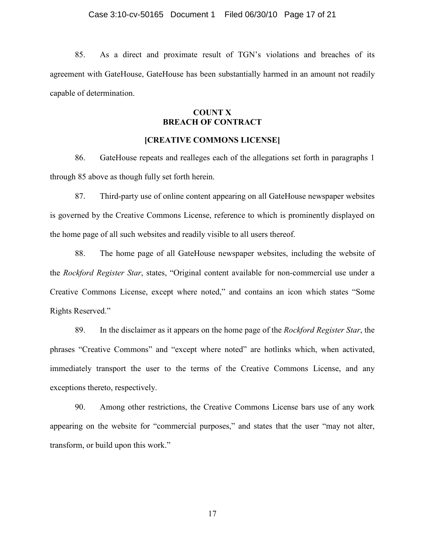85. As a direct and proximate result of TGN's violations and breaches of its agreement with GateHouse, GateHouse has been substantially harmed in an amount not readily capable of determination.

# **COUNT X BREACH OF CONTRACT**

## **[CREATIVE COMMONS LICENSE]**

86. GateHouse repeats and realleges each of the allegations set forth in paragraphs 1 through 85 above as though fully set forth herein.

87. Third-party use of online content appearing on all GateHouse newspaper websites is governed by the Creative Commons License, reference to which is prominently displayed on the home page of all such websites and readily visible to all users thereof.

88. The home page of all GateHouse newspaper websites, including the website of the *Rockford Register Star*, states, "Original content available for non-commercial use under a Creative Commons License, except where noted," and contains an icon which states "Some Rights Reserved."

89. In the disclaimer as it appears on the home page of the *Rockford Register Star*, the phrases "Creative Commons" and "except where noted" are hotlinks which, when activated, immediately transport the user to the terms of the Creative Commons License, and any exceptions thereto, respectively.

90. Among other restrictions, the Creative Commons License bars use of any work appearing on the website for "commercial purposes," and states that the user "may not alter, transform, or build upon this work."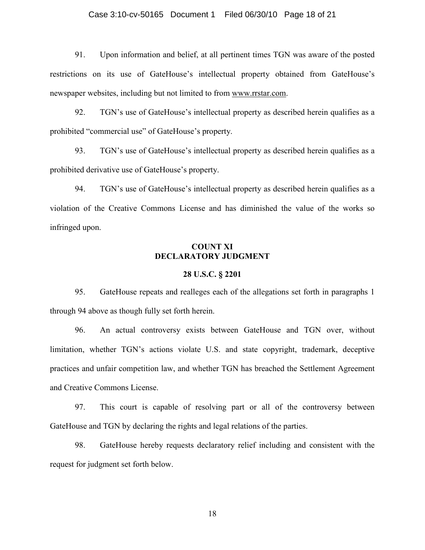## Case 3:10-cv-50165 Document 1 Filed 06/30/10 Page 18 of 21

91. Upon information and belief, at all pertinent times TGN was aware of the posted restrictions on its use of GateHouse's intellectual property obtained from GateHouse's newspaper websites, including but not limited to from www.rrstar.com.

92. TGN's use of GateHouse's intellectual property as described herein qualifies as a prohibited "commercial use" of GateHouse's property.

93. TGN's use of GateHouse's intellectual property as described herein qualifies as a prohibited derivative use of GateHouse's property.

94. TGN's use of GateHouse's intellectual property as described herein qualifies as a violation of the Creative Commons License and has diminished the value of the works so infringed upon.

## **COUNT XI DECLARATORY JUDGMENT**

### **28 U.S.C. § 2201**

95. GateHouse repeats and realleges each of the allegations set forth in paragraphs 1 through 94 above as though fully set forth herein.

96. An actual controversy exists between GateHouse and TGN over, without limitation, whether TGN's actions violate U.S. and state copyright, trademark, deceptive practices and unfair competition law, and whether TGN has breached the Settlement Agreement and Creative Commons License.

97. This court is capable of resolving part or all of the controversy between GateHouse and TGN by declaring the rights and legal relations of the parties.

98. GateHouse hereby requests declaratory relief including and consistent with the request for judgment set forth below.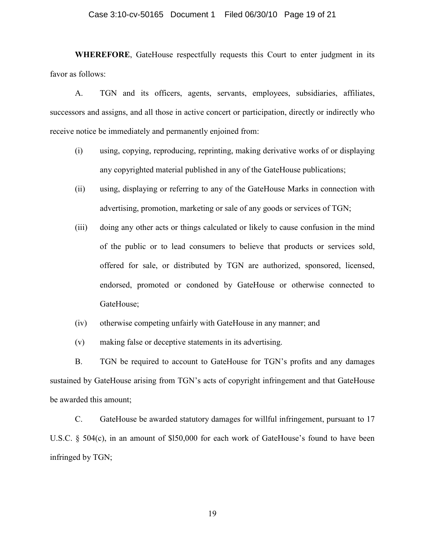#### Case 3:10-cv-50165 Document 1 Filed 06/30/10 Page 19 of 21

**WHEREFORE**, GateHouse respectfully requests this Court to enter judgment in its favor as follows:

A. TGN and its officers, agents, servants, employees, subsidiaries, affiliates, successors and assigns, and all those in active concert or participation, directly or indirectly who receive notice be immediately and permanently enjoined from:

- (i) using, copying, reproducing, reprinting, making derivative works of or displaying any copyrighted material published in any of the GateHouse publications;
- (ii) using, displaying or referring to any of the GateHouse Marks in connection with advertising, promotion, marketing or sale of any goods or services of TGN;
- (iii) doing any other acts or things calculated or likely to cause confusion in the mind of the public or to lead consumers to believe that products or services sold, offered for sale, or distributed by TGN are authorized, sponsored, licensed, endorsed, promoted or condoned by GateHouse or otherwise connected to GateHouse;
- (iv) otherwise competing unfairly with GateHouse in any manner; and
- (v) making false or deceptive statements in its advertising.

B. TGN be required to account to GateHouse for TGN's profits and any damages sustained by GateHouse arising from TGN's acts of copyright infringement and that GateHouse be awarded this amount;

C. GateHouse be awarded statutory damages for willful infringement, pursuant to 17 U.S.C. § 504(c), in an amount of \$l50,000 for each work of GateHouse's found to have been infringed by TGN;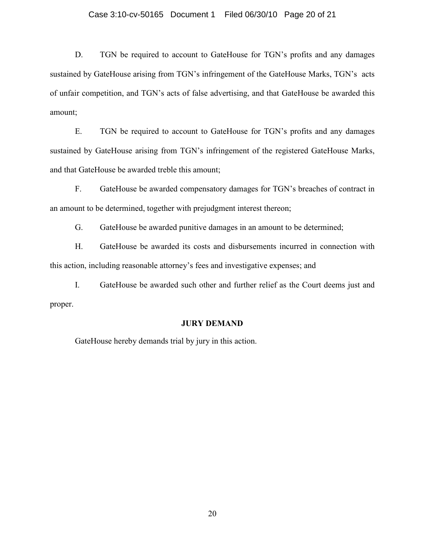## Case 3:10-cv-50165 Document 1 Filed 06/30/10 Page 20 of 21

D. TGN be required to account to GateHouse for TGN's profits and any damages sustained by GateHouse arising from TGN's infringement of the GateHouse Marks, TGN's acts of unfair competition, and TGN's acts of false advertising, and that GateHouse be awarded this amount;

E. TGN be required to account to GateHouse for TGN's profits and any damages sustained by GateHouse arising from TGN's infringement of the registered GateHouse Marks, and that GateHouse be awarded treble this amount;

F. GateHouse be awarded compensatory damages for TGN's breaches of contract in an amount to be determined, together with prejudgment interest thereon;

G. GateHouse be awarded punitive damages in an amount to be determined;

H. GateHouse be awarded its costs and disbursements incurred in connection with this action, including reasonable attorney's fees and investigative expenses; and

I. GateHouse be awarded such other and further relief as the Court deems just and proper.

#### **JURY DEMAND**

GateHouse hereby demands trial by jury in this action.